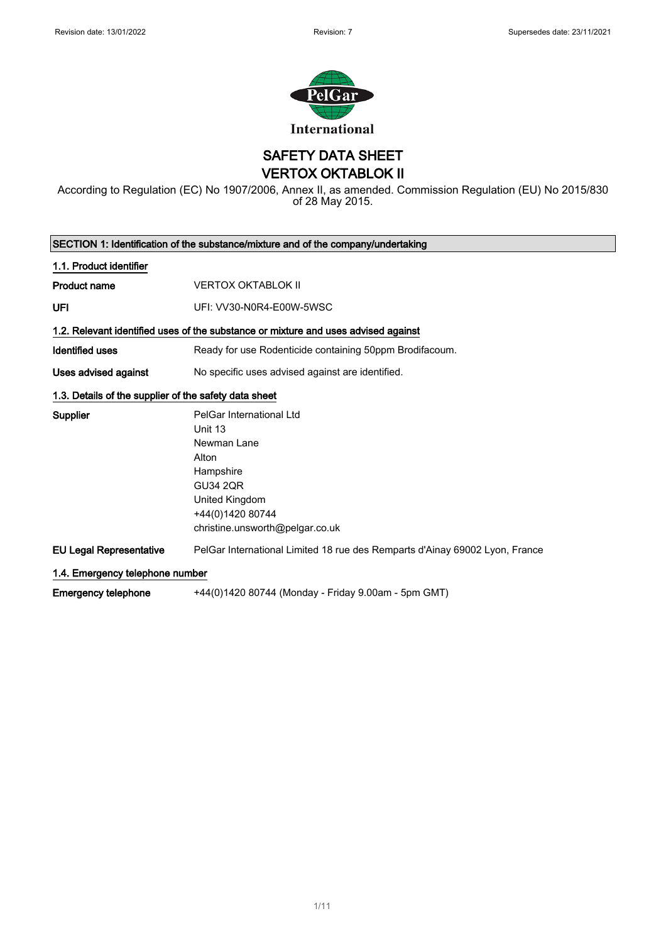

SAFETY DATA SHEET VERTOX OKTABLOK II

According to Regulation (EC) No 1907/2006, Annex II, as amended. Commission Regulation (EU) No 2015/830 of 28 May 2015.

| SECTION 1: Identification of the substance/mixture and of the company/undertaking |                                                                                    |  |
|-----------------------------------------------------------------------------------|------------------------------------------------------------------------------------|--|
| 1.1. Product identifier                                                           |                                                                                    |  |
| <b>Product name</b>                                                               | <b>VERTOX OKTABLOK II</b>                                                          |  |
| UFI                                                                               | UFI: VV30-N0R4-E00W-5WSC                                                           |  |
|                                                                                   | 1.2. Relevant identified uses of the substance or mixture and uses advised against |  |
| <b>Identified uses</b>                                                            | Ready for use Rodenticide containing 50ppm Brodifacoum.                            |  |
| Uses advised against                                                              | No specific uses advised against are identified.                                   |  |
| 1.3. Details of the supplier of the safety data sheet                             |                                                                                    |  |
| <b>Supplier</b>                                                                   | PelGar International Ltd                                                           |  |
|                                                                                   | Unit 13                                                                            |  |
|                                                                                   | Newman Lane                                                                        |  |
|                                                                                   | Alton                                                                              |  |
|                                                                                   | Hampshire                                                                          |  |
|                                                                                   | <b>GU34 2QR</b>                                                                    |  |
|                                                                                   | United Kingdom                                                                     |  |
|                                                                                   | +44(0)1420 80744                                                                   |  |
|                                                                                   | christine.unsworth@pelgar.co.uk                                                    |  |
| <b>EU Legal Representative</b>                                                    | PelGar International Limited 18 rue des Remparts d'Ainay 69002 Lyon, France        |  |
| 1.4. Emergency telephone number                                                   |                                                                                    |  |
| <b>Emergency telephone</b>                                                        | +44(0)1420 80744 (Monday - Friday 9.00am - 5pm GMT)                                |  |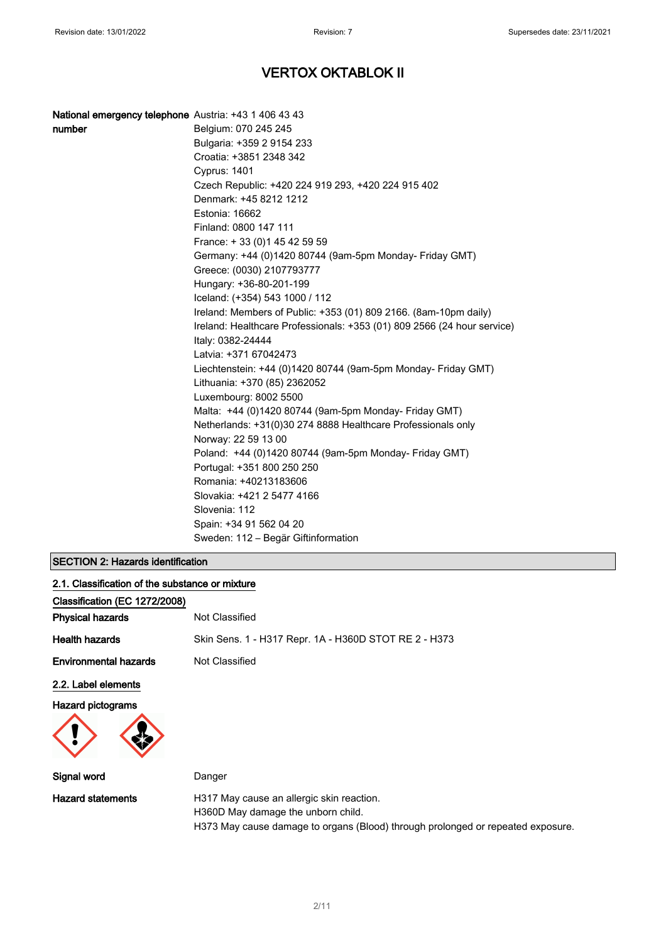| National emergency telephone Austria: +43 1 406 43 43<br>number | Belgium: 070 245 245<br>Bulgaria: +359 2 9154 233                                             |
|-----------------------------------------------------------------|-----------------------------------------------------------------------------------------------|
|                                                                 | Croatia: +3851 2348 342                                                                       |
|                                                                 | <b>Cyprus: 1401</b>                                                                           |
|                                                                 | Czech Republic: +420 224 919 293, +420 224 915 402                                            |
|                                                                 | Denmark: +45 8212 1212                                                                        |
|                                                                 | Estonia: 16662                                                                                |
|                                                                 | Finland: 0800 147 111                                                                         |
|                                                                 | France: +33 (0) 145 42 59 59                                                                  |
|                                                                 | Germany: +44 (0)1420 80744 (9am-5pm Monday- Friday GMT)                                       |
|                                                                 | Greece: (0030) 2107793777                                                                     |
|                                                                 | Hungary: +36-80-201-199                                                                       |
|                                                                 | Iceland: (+354) 543 1000 / 112                                                                |
|                                                                 | Ireland: Members of Public: +353 (01) 809 2166. (8am-10pm daily)                              |
|                                                                 | Ireland: Healthcare Professionals: +353 (01) 809 2566 (24 hour service)<br>Italy: 0382-24444  |
|                                                                 | Latvia: +371 67042473                                                                         |
|                                                                 | Liechtenstein: +44 (0)1420 80744 (9am-5pm Monday- Friday GMT)<br>Lithuania: +370 (85) 2362052 |
|                                                                 | Luxembourg: 8002 5500                                                                         |
|                                                                 | Malta: +44 (0)1420 80744 (9am-5pm Monday- Friday GMT)                                         |
|                                                                 | Netherlands: +31(0)30 274 8888 Healthcare Professionals only                                  |
|                                                                 | Norway: 22 59 13 00                                                                           |
|                                                                 | Poland: +44 (0)1420 80744 (9am-5pm Monday- Friday GMT)                                        |
|                                                                 | Portugal: +351 800 250 250                                                                    |
|                                                                 | Romania: +40213183606                                                                         |
|                                                                 | Slovakia: +421 2 5477 4166                                                                    |
|                                                                 | Slovenia: 112                                                                                 |
|                                                                 | Spain: +34 91 562 04 20                                                                       |
|                                                                 | Sweden: 112 – Begär Giftinformation                                                           |

## SECTION 2: Hazards identification

| 2.1. Classification of the substance or mixture |                                                                                 |
|-------------------------------------------------|---------------------------------------------------------------------------------|
| Classification (EC 1272/2008)                   |                                                                                 |
| <b>Physical hazards</b>                         | Not Classified                                                                  |
| <b>Health hazards</b>                           | Skin Sens. 1 - H317 Repr. 1A - H360D STOT RE 2 - H373                           |
| <b>Environmental hazards</b>                    | Not Classified                                                                  |
| 2.2. Label elements                             |                                                                                 |
| <b>Hazard pictograms</b>                        |                                                                                 |
| Signal word                                     | Danger                                                                          |
| <b>Hazard statements</b>                        | H317 May cause an allergic skin reaction.<br>H360D May damage the unborn child. |

H373 May cause damage to organs (Blood) through prolonged or repeated exposure.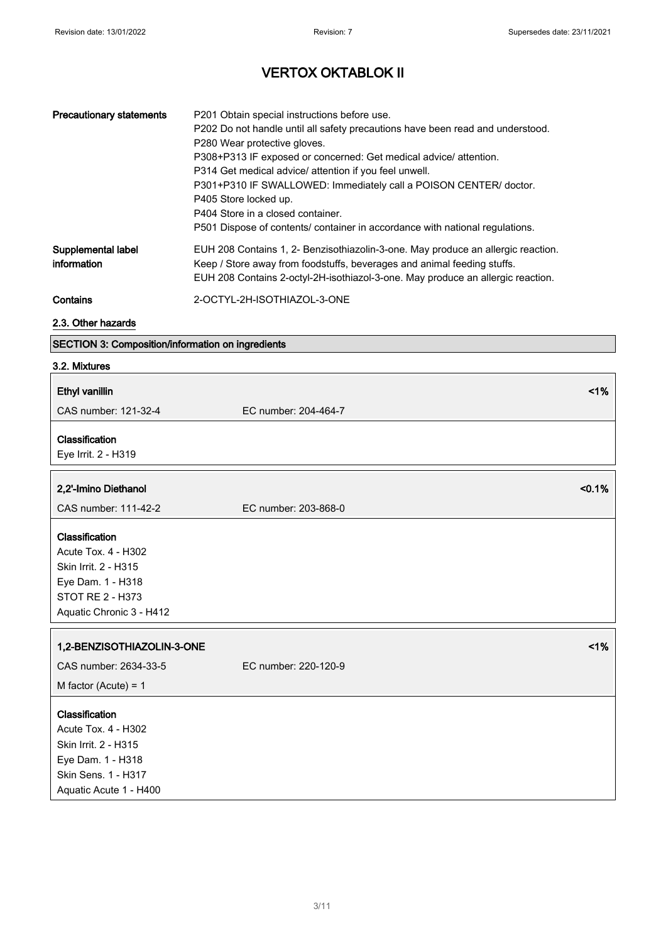| <b>Precautionary statements</b>   | P201 Obtain special instructions before use.<br>P202 Do not handle until all safety precautions have been read and understood.<br>P280 Wear protective gloves.<br>P308+P313 IF exposed or concerned: Get medical advice/attention.<br>P314 Get medical advice/ attention if you feel unwell.<br>P301+P310 IF SWALLOWED: Immediately call a POISON CENTER/ doctor.<br>P405 Store locked up.<br>P404 Store in a closed container.<br>P501 Dispose of contents/ container in accordance with national regulations. |
|-----------------------------------|-----------------------------------------------------------------------------------------------------------------------------------------------------------------------------------------------------------------------------------------------------------------------------------------------------------------------------------------------------------------------------------------------------------------------------------------------------------------------------------------------------------------|
| Supplemental label<br>information | EUH 208 Contains 1, 2- Benzisothiazolin-3-one. May produce an allergic reaction.<br>Keep / Store away from foodstuffs, beverages and animal feeding stuffs.<br>EUH 208 Contains 2-octyl-2H-isothiazol-3-one. May produce an allergic reaction.                                                                                                                                                                                                                                                                  |
| Contains                          | 2-OCTYL-2H-ISOTHIAZOL-3-ONE                                                                                                                                                                                                                                                                                                                                                                                                                                                                                     |

### 2.3. Other hazards

### SECTION 3: Composition/information on ingredients

### 3.2. Mixtures

| <b>Ethyl vanillin</b>                                                                                                                      | 1%                   |
|--------------------------------------------------------------------------------------------------------------------------------------------|----------------------|
| CAS number: 121-32-4                                                                                                                       | EC number: 204-464-7 |
| Classification<br>Eye Irrit. 2 - H319                                                                                                      |                      |
| 2,2'-Imino Diethanol                                                                                                                       | < 0.1%               |
| CAS number: 111-42-2                                                                                                                       | EC number: 203-868-0 |
| Classification<br>Acute Tox. 4 - H302<br>Skin Irrit. 2 - H315<br>Eye Dam. 1 - H318<br>STOT RE 2 - H373<br>Aquatic Chronic 3 - H412         |                      |
| 1,2-BENZISOTHIAZOLIN-3-ONE                                                                                                                 | 1%                   |
| CAS number: 2634-33-5                                                                                                                      | EC number: 220-120-9 |
| M factor (Acute) = $1$                                                                                                                     |                      |
| Classification<br><b>Acute Tox. 4 - H302</b><br>Skin Irrit. 2 - H315<br>Eye Dam. 1 - H318<br>Skin Sens. 1 - H317<br>Aquatic Acute 1 - H400 |                      |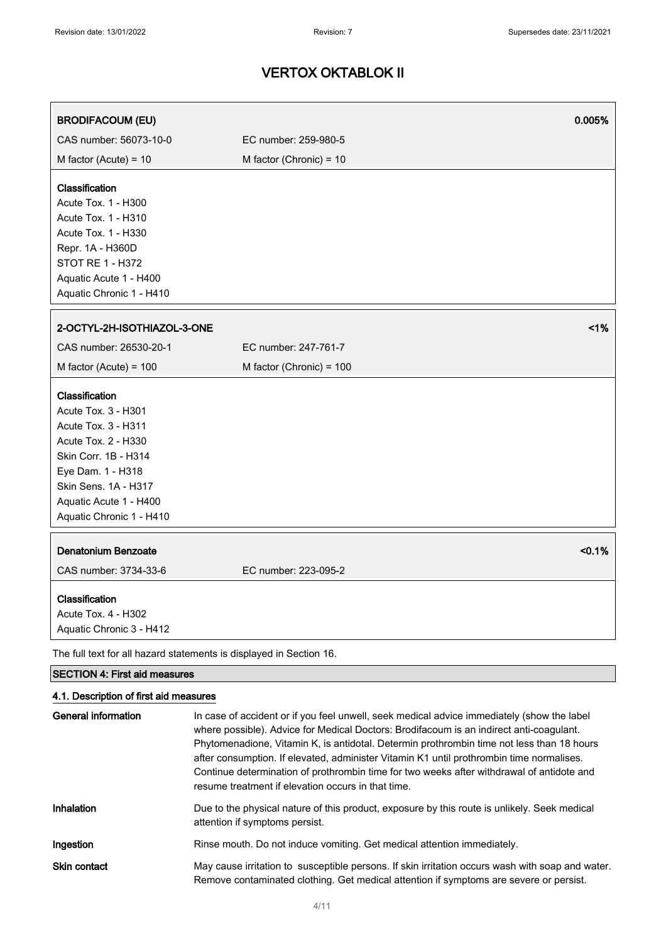| <b>BRODIFACOUM (EU)</b>                                                                                                                                                                                        | 0.005%                                                                                     |
|----------------------------------------------------------------------------------------------------------------------------------------------------------------------------------------------------------------|--------------------------------------------------------------------------------------------|
| CAS number: 56073-10-0                                                                                                                                                                                         | EC number: 259-980-5                                                                       |
| M factor (Acute) = $10$                                                                                                                                                                                        | M factor (Chronic) = $10$                                                                  |
| Classification<br>Acute Tox. 1 - H300<br>Acute Tox. 1 - H310<br>Acute Tox. 1 - H330<br>Repr. 1A - H360D<br><b>STOT RE 1 - H372</b><br>Aquatic Acute 1 - H400<br>Aquatic Chronic 1 - H410                       |                                                                                            |
| 2-OCTYL-2H-ISOTHIAZOL-3-ONE                                                                                                                                                                                    | 1%                                                                                         |
| CAS number: 26530-20-1                                                                                                                                                                                         | EC number: 247-761-7                                                                       |
| M factor (Acute) = $100$                                                                                                                                                                                       | M factor (Chronic) = 100                                                                   |
| Classification<br>Acute Tox. 3 - H301<br>Acute Tox. 3 - H311<br>Acute Tox. 2 - H330<br>Skin Corr. 1B - H314<br>Eye Dam. 1 - H318<br>Skin Sens. 1A - H317<br>Aquatic Acute 1 - H400<br>Aquatic Chronic 1 - H410 |                                                                                            |
| <b>Denatonium Benzoate</b><br>CAS number: 3734-33-6                                                                                                                                                            | < 0.1%<br>EC number: 223-095-2                                                             |
| Classification<br>Acute Tox. 4 - H302<br>Aquatic Chronic 3 - H412                                                                                                                                              |                                                                                            |
| The full text for all hazard statements is displayed in Section 16.                                                                                                                                            |                                                                                            |
| <b>SECTION 4: First aid measures</b>                                                                                                                                                                           |                                                                                            |
| 4.1. Description of first aid measures<br><b>General information</b>                                                                                                                                           | In case of accident or if you feel unwell, seek medical advice immediately (show the label |

|                     | where possible). Advice for Medical Doctors: Brodifacoum is an indirect anti-coagulant.<br>Phytomenadione, Vitamin K, is antidotal. Determin prothrombin time not less than 18 hours<br>after consumption. If elevated, administer Vitamin K1 until prothrombin time normalises.<br>Continue determination of prothrombin time for two weeks after withdrawal of antidote and<br>resume treatment if elevation occurs in that time. |
|---------------------|-------------------------------------------------------------------------------------------------------------------------------------------------------------------------------------------------------------------------------------------------------------------------------------------------------------------------------------------------------------------------------------------------------------------------------------|
| Inhalation          | Due to the physical nature of this product, exposure by this route is unlikely. Seek medical<br>attention if symptoms persist.                                                                                                                                                                                                                                                                                                      |
| Ingestion           | Rinse mouth. Do not induce vomiting. Get medical attention immediately.                                                                                                                                                                                                                                                                                                                                                             |
| <b>Skin contact</b> | May cause irritation to susceptible persons. If skin irritation occurs wash with soap and water.<br>Remove contaminated clothing. Get medical attention if symptoms are severe or persist.                                                                                                                                                                                                                                          |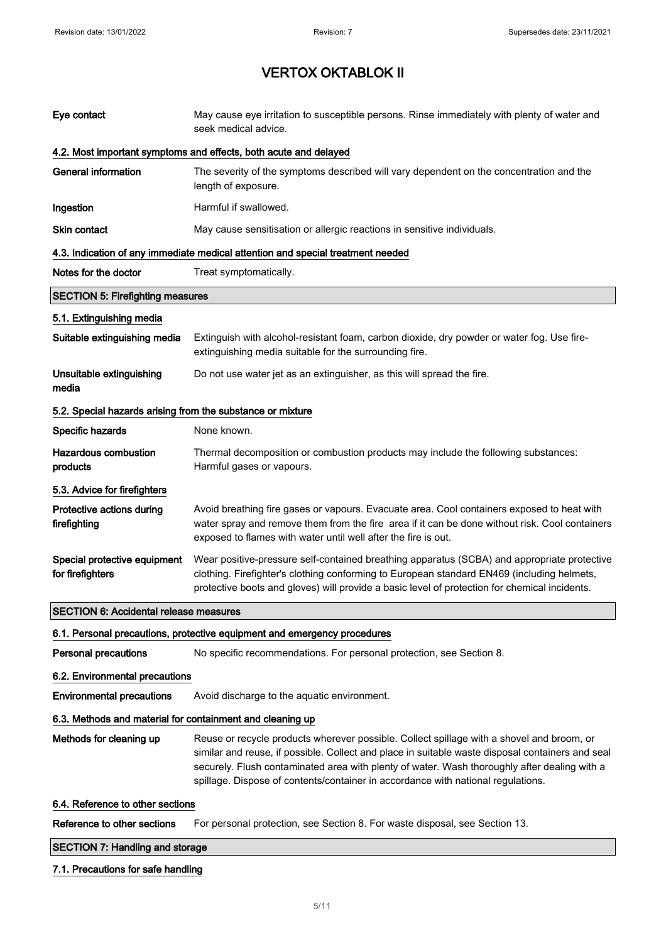| Eye contact                                                | May cause eye irritation to susceptible persons. Rinse immediately with plenty of water and<br>seek medical advice.                                                                                                                                                                                                                                                               |  |
|------------------------------------------------------------|-----------------------------------------------------------------------------------------------------------------------------------------------------------------------------------------------------------------------------------------------------------------------------------------------------------------------------------------------------------------------------------|--|
|                                                            | 4.2. Most important symptoms and effects, both acute and delayed                                                                                                                                                                                                                                                                                                                  |  |
| <b>General information</b>                                 | The severity of the symptoms described will vary dependent on the concentration and the<br>length of exposure.                                                                                                                                                                                                                                                                    |  |
| Ingestion                                                  | Harmful if swallowed.                                                                                                                                                                                                                                                                                                                                                             |  |
| Skin contact                                               | May cause sensitisation or allergic reactions in sensitive individuals.                                                                                                                                                                                                                                                                                                           |  |
|                                                            | 4.3. Indication of any immediate medical attention and special treatment needed                                                                                                                                                                                                                                                                                                   |  |
| Notes for the doctor                                       | Treat symptomatically.                                                                                                                                                                                                                                                                                                                                                            |  |
| <b>SECTION 5: Firefighting measures</b>                    |                                                                                                                                                                                                                                                                                                                                                                                   |  |
| 5.1. Extinguishing media                                   |                                                                                                                                                                                                                                                                                                                                                                                   |  |
| Suitable extinguishing media                               | Extinguish with alcohol-resistant foam, carbon dioxide, dry powder or water fog. Use fire-<br>extinguishing media suitable for the surrounding fire.                                                                                                                                                                                                                              |  |
| Unsuitable extinguishing<br>media                          | Do not use water jet as an extinguisher, as this will spread the fire.                                                                                                                                                                                                                                                                                                            |  |
| 5.2. Special hazards arising from the substance or mixture |                                                                                                                                                                                                                                                                                                                                                                                   |  |
| Specific hazards                                           | None known.                                                                                                                                                                                                                                                                                                                                                                       |  |
| <b>Hazardous combustion</b><br>products                    | Thermal decomposition or combustion products may include the following substances:<br>Harmful gases or vapours.                                                                                                                                                                                                                                                                   |  |
| 5.3. Advice for firefighters                               |                                                                                                                                                                                                                                                                                                                                                                                   |  |
| Protective actions during<br>firefighting                  | Avoid breathing fire gases or vapours. Evacuate area. Cool containers exposed to heat with<br>water spray and remove them from the fire area if it can be done without risk. Cool containers<br>exposed to flames with water until well after the fire is out.                                                                                                                    |  |
| Special protective equipment<br>for firefighters           | Wear positive-pressure self-contained breathing apparatus (SCBA) and appropriate protective<br>clothing. Firefighter's clothing conforming to European standard EN469 (including helmets,<br>protective boots and gloves) will provide a basic level of protection for chemical incidents.                                                                                        |  |
| <b>SECTION 6: Accidental release measures</b>              |                                                                                                                                                                                                                                                                                                                                                                                   |  |
|                                                            | 6.1. Personal precautions, protective equipment and emergency procedures                                                                                                                                                                                                                                                                                                          |  |
| <b>Personal precautions</b>                                | No specific recommendations. For personal protection, see Section 8.                                                                                                                                                                                                                                                                                                              |  |
| 6.2. Environmental precautions                             |                                                                                                                                                                                                                                                                                                                                                                                   |  |
| <b>Environmental precautions</b>                           | Avoid discharge to the aquatic environment.                                                                                                                                                                                                                                                                                                                                       |  |
| 6.3. Methods and material for containment and cleaning up  |                                                                                                                                                                                                                                                                                                                                                                                   |  |
| Methods for cleaning up                                    | Reuse or recycle products wherever possible. Collect spillage with a shovel and broom, or<br>similar and reuse, if possible. Collect and place in suitable waste disposal containers and seal<br>securely. Flush contaminated area with plenty of water. Wash thoroughly after dealing with a<br>spillage. Dispose of contents/container in accordance with national regulations. |  |
| 6.4. Reference to other sections                           |                                                                                                                                                                                                                                                                                                                                                                                   |  |
| Reference to other sections                                | For personal protection, see Section 8. For waste disposal, see Section 13.                                                                                                                                                                                                                                                                                                       |  |
| <b>SECTION 7: Handling and storage</b>                     |                                                                                                                                                                                                                                                                                                                                                                                   |  |

## 7.1. Precautions for safe handling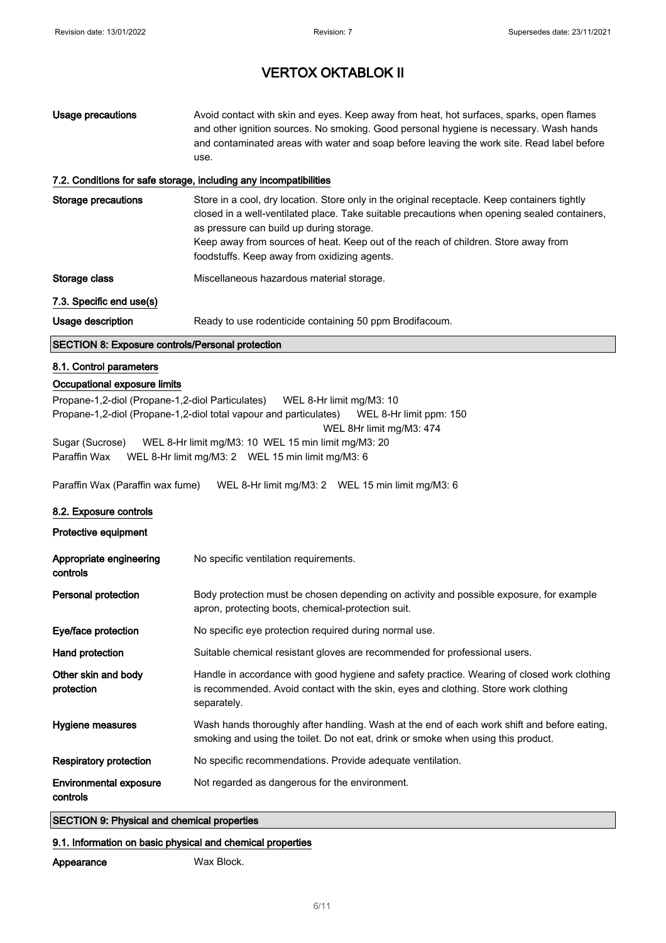| <b>Usage precautions</b>                                                                                                                                                                                                                                                                                                                                                                                                                        | Avoid contact with skin and eyes. Keep away from heat, hot surfaces, sparks, open flames<br>and other ignition sources. No smoking. Good personal hygiene is necessary. Wash hands<br>and contaminated areas with water and soap before leaving the work site. Read label before<br>use.                                                                                        |  |
|-------------------------------------------------------------------------------------------------------------------------------------------------------------------------------------------------------------------------------------------------------------------------------------------------------------------------------------------------------------------------------------------------------------------------------------------------|---------------------------------------------------------------------------------------------------------------------------------------------------------------------------------------------------------------------------------------------------------------------------------------------------------------------------------------------------------------------------------|--|
|                                                                                                                                                                                                                                                                                                                                                                                                                                                 | 7.2. Conditions for safe storage, including any incompatibilities                                                                                                                                                                                                                                                                                                               |  |
| <b>Storage precautions</b>                                                                                                                                                                                                                                                                                                                                                                                                                      | Store in a cool, dry location. Store only in the original receptacle. Keep containers tightly<br>closed in a well-ventilated place. Take suitable precautions when opening sealed containers,<br>as pressure can build up during storage.<br>Keep away from sources of heat. Keep out of the reach of children. Store away from<br>foodstuffs. Keep away from oxidizing agents. |  |
| Storage class                                                                                                                                                                                                                                                                                                                                                                                                                                   | Miscellaneous hazardous material storage.                                                                                                                                                                                                                                                                                                                                       |  |
| 7.3. Specific end use(s)                                                                                                                                                                                                                                                                                                                                                                                                                        |                                                                                                                                                                                                                                                                                                                                                                                 |  |
| Usage description                                                                                                                                                                                                                                                                                                                                                                                                                               | Ready to use rodenticide containing 50 ppm Brodifacoum.                                                                                                                                                                                                                                                                                                                         |  |
| <b>SECTION 8: Exposure controls/Personal protection</b>                                                                                                                                                                                                                                                                                                                                                                                         |                                                                                                                                                                                                                                                                                                                                                                                 |  |
| 8.1. Control parameters                                                                                                                                                                                                                                                                                                                                                                                                                         |                                                                                                                                                                                                                                                                                                                                                                                 |  |
| Occupational exposure limits                                                                                                                                                                                                                                                                                                                                                                                                                    |                                                                                                                                                                                                                                                                                                                                                                                 |  |
| Propane-1,2-diol (Propane-1,2-diol Particulates) WEL 8-Hr limit mg/M3: 10<br>Propane-1,2-diol (Propane-1,2-diol total vapour and particulates)<br>WEL 8-Hr limit ppm: 150<br>WEL 8Hr limit mg/M3: 474<br>Sugar (Sucrose)<br>WEL 8-Hr limit mg/M3: 10 WEL 15 min limit mg/M3: 20<br>Paraffin Wax<br>WEL 8-Hr limit mg/M3: 2  WEL 15 min limit mg/M3: 6<br>Paraffin Wax (Paraffin wax fume)<br>WEL 8-Hr limit mg/M3: 2  WEL 15 min limit mg/M3: 6 |                                                                                                                                                                                                                                                                                                                                                                                 |  |
| 8.2. Exposure controls                                                                                                                                                                                                                                                                                                                                                                                                                          |                                                                                                                                                                                                                                                                                                                                                                                 |  |
| Protective equipment                                                                                                                                                                                                                                                                                                                                                                                                                            |                                                                                                                                                                                                                                                                                                                                                                                 |  |
| Appropriate engineering<br>controls                                                                                                                                                                                                                                                                                                                                                                                                             | No specific ventilation requirements.                                                                                                                                                                                                                                                                                                                                           |  |
| Personal protection                                                                                                                                                                                                                                                                                                                                                                                                                             | Body protection must be chosen depending on activity and possible exposure, for example<br>apron, protecting boots, chemical-protection suit.                                                                                                                                                                                                                                   |  |
| Eye/face protection                                                                                                                                                                                                                                                                                                                                                                                                                             | No specific eye protection required during normal use.                                                                                                                                                                                                                                                                                                                          |  |
| Hand protection                                                                                                                                                                                                                                                                                                                                                                                                                                 | Suitable chemical resistant gloves are recommended for professional users.                                                                                                                                                                                                                                                                                                      |  |
| Other skin and body<br>protection                                                                                                                                                                                                                                                                                                                                                                                                               | Handle in accordance with good hygiene and safety practice. Wearing of closed work clothing<br>is recommended. Avoid contact with the skin, eyes and clothing. Store work clothing<br>separately.                                                                                                                                                                               |  |
| Hygiene measures                                                                                                                                                                                                                                                                                                                                                                                                                                | Wash hands thoroughly after handling. Wash at the end of each work shift and before eating,<br>smoking and using the toilet. Do not eat, drink or smoke when using this product.                                                                                                                                                                                                |  |
| <b>Respiratory protection</b>                                                                                                                                                                                                                                                                                                                                                                                                                   | No specific recommendations. Provide adequate ventilation.                                                                                                                                                                                                                                                                                                                      |  |
| <b>Environmental exposure</b><br>controls                                                                                                                                                                                                                                                                                                                                                                                                       | Not regarded as dangerous for the environment.                                                                                                                                                                                                                                                                                                                                  |  |

## SECTION 9: Physical and chemical properties

### 9.1. Information on basic physical and chemical properties

Appearance Wax Block.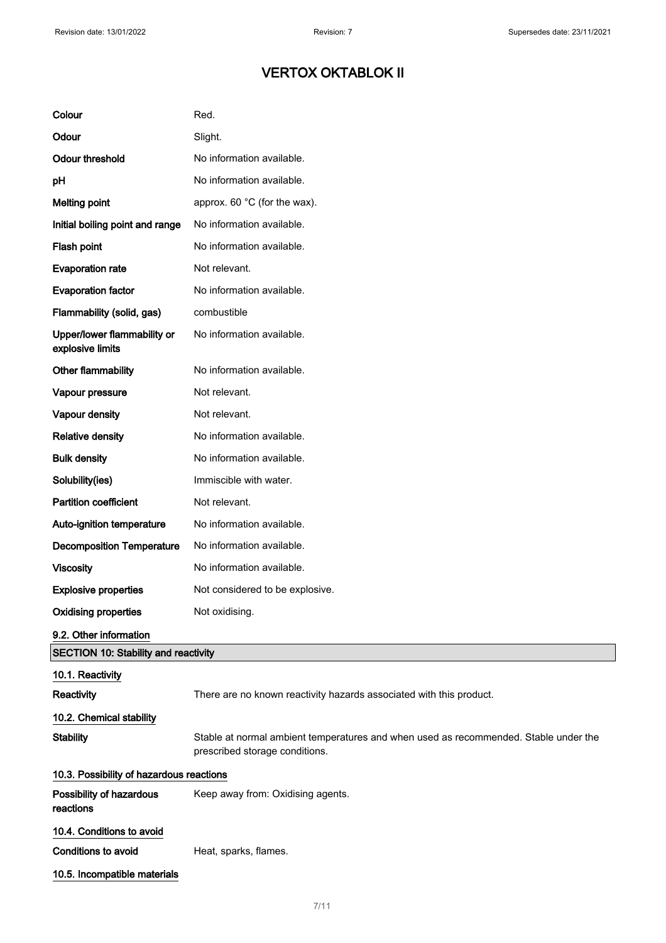| Colour                                          | Red.                                                                                                                   |  |
|-------------------------------------------------|------------------------------------------------------------------------------------------------------------------------|--|
| Odour                                           | Slight.                                                                                                                |  |
| <b>Odour threshold</b>                          | No information available.                                                                                              |  |
| pH                                              | No information available.                                                                                              |  |
| <b>Melting point</b>                            | approx. 60 °C (for the wax).                                                                                           |  |
| Initial boiling point and range                 | No information available.                                                                                              |  |
| Flash point                                     | No information available.                                                                                              |  |
| <b>Evaporation rate</b>                         | Not relevant.                                                                                                          |  |
| <b>Evaporation factor</b>                       | No information available.                                                                                              |  |
| Flammability (solid, gas)                       | combustible                                                                                                            |  |
| Upper/lower flammability or<br>explosive limits | No information available.                                                                                              |  |
| Other flammability                              | No information available.                                                                                              |  |
| Vapour pressure                                 | Not relevant.                                                                                                          |  |
| Vapour density                                  | Not relevant.                                                                                                          |  |
| <b>Relative density</b>                         | No information available.                                                                                              |  |
| <b>Bulk density</b>                             | No information available.                                                                                              |  |
| Solubility(ies)                                 | Immiscible with water.                                                                                                 |  |
| <b>Partition coefficient</b>                    | Not relevant.                                                                                                          |  |
| Auto-ignition temperature                       | No information available.                                                                                              |  |
| <b>Decomposition Temperature</b>                | No information available.                                                                                              |  |
| <b>Viscosity</b>                                | No information available.                                                                                              |  |
| <b>Explosive properties</b>                     | Not considered to be explosive.                                                                                        |  |
| <b>Oxidising properties</b>                     | Not oxidising.                                                                                                         |  |
| 9.2. Other information                          |                                                                                                                        |  |
| <b>SECTION 10: Stability and reactivity</b>     |                                                                                                                        |  |
| 10.1. Reactivity<br>Reactivity                  | There are no known reactivity hazards associated with this product.                                                    |  |
| 10.2. Chemical stability                        |                                                                                                                        |  |
| <b>Stability</b>                                | Stable at normal ambient temperatures and when used as recommended. Stable under the<br>prescribed storage conditions. |  |
| 10.3. Possibility of hazardous reactions        |                                                                                                                        |  |
| Possibility of hazardous<br>reactions           | Keep away from: Oxidising agents.                                                                                      |  |
| 10.4. Conditions to avoid                       |                                                                                                                        |  |
| <b>Conditions to avoid</b>                      | Heat, sparks, flames.                                                                                                  |  |
| 10.5. Incompatible materials                    |                                                                                                                        |  |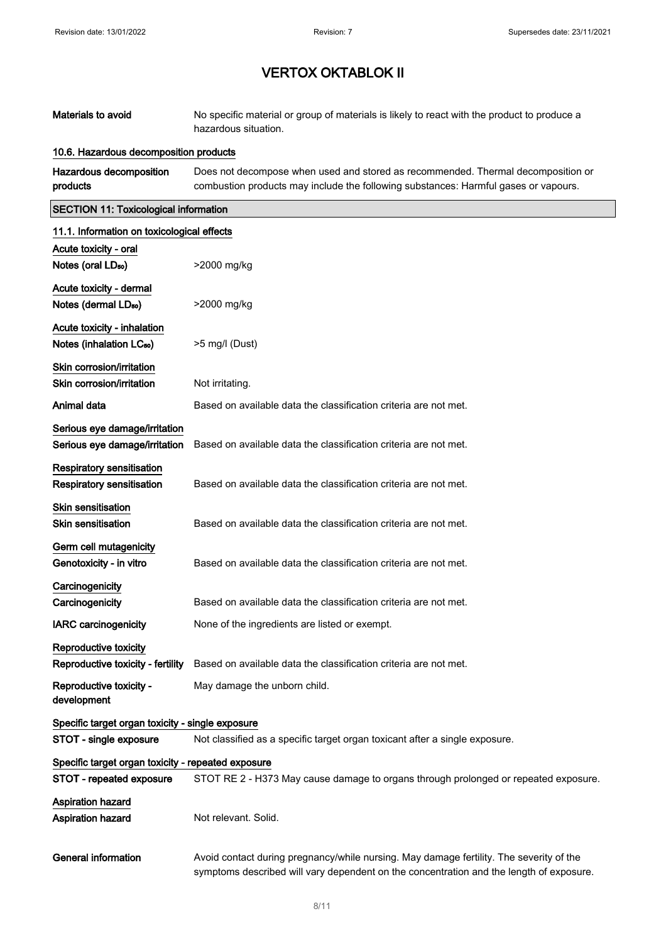| Materials to avoid                                                   | No specific material or group of materials is likely to react with the product to produce a<br>hazardous situation.                                                                |
|----------------------------------------------------------------------|------------------------------------------------------------------------------------------------------------------------------------------------------------------------------------|
| 10.6. Hazardous decomposition products                               |                                                                                                                                                                                    |
| Hazardous decomposition<br>products                                  | Does not decompose when used and stored as recommended. Thermal decomposition or<br>combustion products may include the following substances: Harmful gases or vapours.            |
| <b>SECTION 11: Toxicological information</b>                         |                                                                                                                                                                                    |
| 11.1. Information on toxicological effects                           |                                                                                                                                                                                    |
| Acute toxicity - oral<br>Notes (oral LD <sub>50</sub> )              | >2000 mg/kg                                                                                                                                                                        |
| Acute toxicity - dermal<br>Notes (dermal LD <sub>50</sub> )          | >2000 mg/kg                                                                                                                                                                        |
| Acute toxicity - inhalation<br>Notes (inhalation LC <sub>50</sub> )  | >5 mg/l (Dust)                                                                                                                                                                     |
| Skin corrosion/irritation<br>Skin corrosion/irritation               | Not irritating.                                                                                                                                                                    |
| Animal data                                                          | Based on available data the classification criteria are not met.                                                                                                                   |
| Serious eye damage/irritation<br>Serious eye damage/irritation       | Based on available data the classification criteria are not met.                                                                                                                   |
| <b>Respiratory sensitisation</b><br><b>Respiratory sensitisation</b> | Based on available data the classification criteria are not met.                                                                                                                   |
| Skin sensitisation<br><b>Skin sensitisation</b>                      | Based on available data the classification criteria are not met.                                                                                                                   |
| Germ cell mutagenicity<br>Genotoxicity - in vitro                    | Based on available data the classification criteria are not met.                                                                                                                   |
| Carcinogenicity<br>Carcinogenicity                                   | Based on available data the classification criteria are not met.                                                                                                                   |
| <b>IARC</b> carcinogenicity                                          | None of the ingredients are listed or exempt.                                                                                                                                      |
| Reproductive toxicity<br>Reproductive toxicity - fertility           | Based on available data the classification criteria are not met.                                                                                                                   |
| Reproductive toxicity -<br>development                               | May damage the unborn child.                                                                                                                                                       |
| Specific target organ toxicity - single exposure                     |                                                                                                                                                                                    |
| STOT - single exposure                                               | Not classified as a specific target organ toxicant after a single exposure.                                                                                                        |
| Specific target organ toxicity - repeated exposure                   |                                                                                                                                                                                    |
| STOT - repeated exposure                                             | STOT RE 2 - H373 May cause damage to organs through prolonged or repeated exposure.                                                                                                |
| Aspiration hazard<br>Aspiration hazard                               | Not relevant. Solid.                                                                                                                                                               |
| <b>General information</b>                                           | Avoid contact during pregnancy/while nursing. May damage fertility. The severity of the<br>symptoms described will vary dependent on the concentration and the length of exposure. |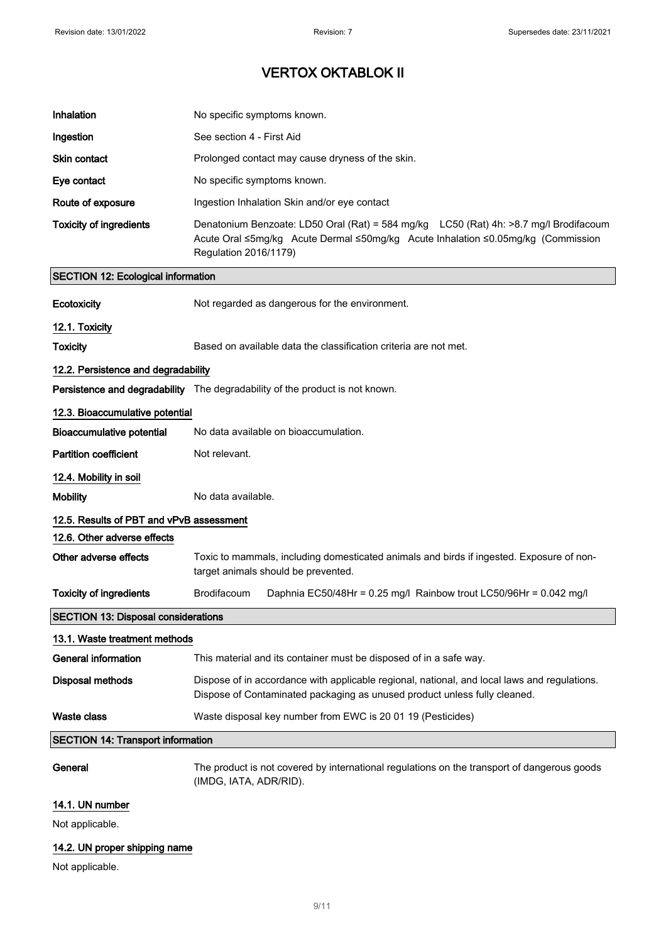| Inhalation                                 | No specific symptoms known.                                                                                                                                                                        |  |
|--------------------------------------------|----------------------------------------------------------------------------------------------------------------------------------------------------------------------------------------------------|--|
| Ingestion                                  | See section 4 - First Aid                                                                                                                                                                          |  |
| <b>Skin contact</b>                        | Prolonged contact may cause dryness of the skin.                                                                                                                                                   |  |
| Eye contact                                | No specific symptoms known.                                                                                                                                                                        |  |
| Route of exposure                          | Ingestion Inhalation Skin and/or eye contact                                                                                                                                                       |  |
| <b>Toxicity of ingredients</b>             | Denatonium Benzoate: LD50 Oral (Rat) = 584 mg/kg LC50 (Rat) 4h: >8.7 mg/l Brodifacoum<br>Acute Oral ≤5mg/kg Acute Dermal ≤50mg/kg Acute Inhalation ≤0.05mg/kg (Commission<br>Regulation 2016/1179) |  |
| <b>SECTION 12: Ecological information</b>  |                                                                                                                                                                                                    |  |
| Ecotoxicity                                | Not regarded as dangerous for the environment.                                                                                                                                                     |  |
| 12.1. Toxicity                             |                                                                                                                                                                                                    |  |
| <b>Toxicity</b>                            | Based on available data the classification criteria are not met.                                                                                                                                   |  |
| 12.2. Persistence and degradability        |                                                                                                                                                                                                    |  |
|                                            | <b>Persistence and degradability</b> The degradability of the product is not known.                                                                                                                |  |
| 12.3. Bioaccumulative potential            |                                                                                                                                                                                                    |  |
| <b>Bioaccumulative potential</b>           | No data available on bioaccumulation.                                                                                                                                                              |  |
| <b>Partition coefficient</b>               | Not relevant.                                                                                                                                                                                      |  |
| 12.4. Mobility in soil                     |                                                                                                                                                                                                    |  |
| <b>Mobility</b>                            | No data available.                                                                                                                                                                                 |  |
| 12.5. Results of PBT and vPvB assessment   |                                                                                                                                                                                                    |  |
| 12.6. Other adverse effects                |                                                                                                                                                                                                    |  |
| Other adverse effects                      | Toxic to mammals, including domesticated animals and birds if ingested. Exposure of non-<br>target animals should be prevented.                                                                    |  |
| <b>Toxicity of ingredients</b>             | Brodifacoum<br>Daphnia EC50/48Hr = 0.25 mg/l Rainbow trout LC50/96Hr = 0.042 mg/l                                                                                                                  |  |
| <b>SECTION 13: Disposal considerations</b> |                                                                                                                                                                                                    |  |
| 13.1. Waste treatment methods              |                                                                                                                                                                                                    |  |
| <b>General information</b>                 | This material and its container must be disposed of in a safe way.                                                                                                                                 |  |
| <b>Disposal methods</b>                    | Dispose of in accordance with applicable regional, national, and local laws and regulations.<br>Dispose of Contaminated packaging as unused product unless fully cleaned.                          |  |
| Waste class                                | Waste disposal key number from EWC is 20 01 19 (Pesticides)                                                                                                                                        |  |
| <b>SECTION 14: Transport information</b>   |                                                                                                                                                                                                    |  |
| General                                    | The product is not covered by international regulations on the transport of dangerous goods<br>(IMDG, IATA, ADR/RID).                                                                              |  |
| 14.1. UN number                            |                                                                                                                                                                                                    |  |
| Not applicable.                            |                                                                                                                                                                                                    |  |
|                                            |                                                                                                                                                                                                    |  |

## 14.2. UN proper shipping name

Not applicable.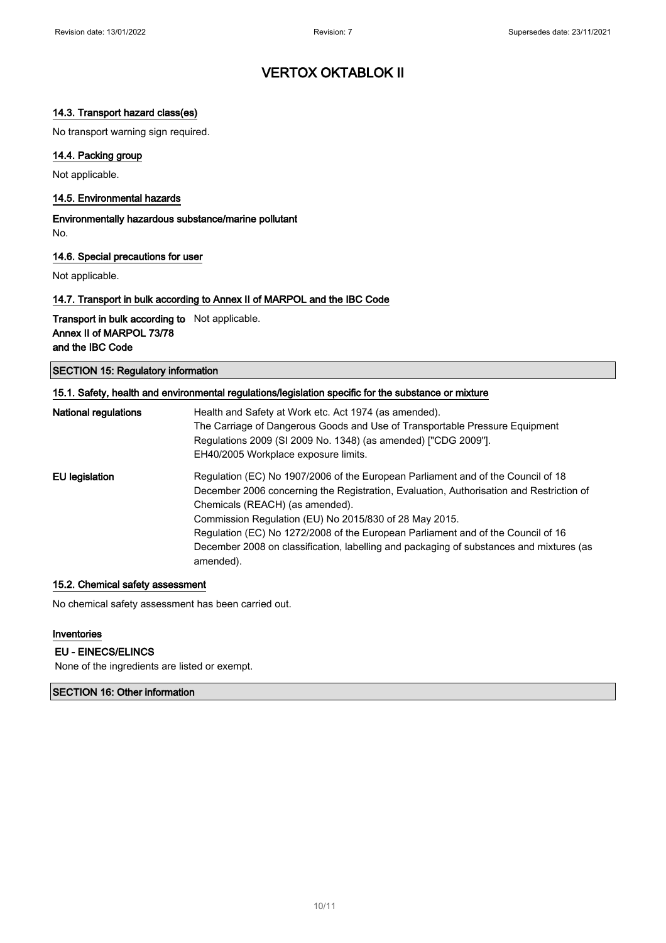### 14.3. Transport hazard class(es)

No transport warning sign required.

### 14.4. Packing group

Not applicable.

#### 14.5. Environmental hazards

Environmentally hazardous substance/marine pollutant No.

#### 14.6. Special precautions for user

Not applicable.

#### 14.7. Transport in bulk according to Annex II of MARPOL and the IBC Code

Transport in bulk according to Not applicable. Annex II of MARPOL 73/78 and the IBC Code

SECTION 15: Regulatory information

| 15.1. Safety, health and environmental regulations/legislation specific for the substance or mixture |                                                                                                      |
|------------------------------------------------------------------------------------------------------|------------------------------------------------------------------------------------------------------|
| <b>National regulations</b>                                                                          | Health and Safety at Work etc. Act 1974 (as amended).                                                |
|                                                                                                      | The Carriage of Dangerous Goods and Use of Transportable Pressure Equipment                          |
|                                                                                                      | Regulations 2009 (SI 2009 No. 1348) (as amended) ["CDG 2009"].                                       |
|                                                                                                      | EH40/2005 Workplace exposure limits.                                                                 |
| EU legislation                                                                                       | Regulation (EC) No 1907/2006 of the European Parliament and of the Council of 18                     |
|                                                                                                      | December 2006 concerning the Registration, Evaluation, Authorisation and Restriction of              |
|                                                                                                      | Chemicals (REACH) (as amended).                                                                      |
|                                                                                                      | Commission Regulation (EU) No 2015/830 of 28 May 2015.                                               |
|                                                                                                      | Regulation (EC) No 1272/2008 of the European Parliament and of the Council of 16                     |
|                                                                                                      | December 2008 on classification, labelling and packaging of substances and mixtures (as<br>amended). |

#### 15.2. Chemical safety assessment

No chemical safety assessment has been carried out.

#### Inventories

#### EU - EINECS/ELINCS

None of the ingredients are listed or exempt.

### SECTION 16: Other information